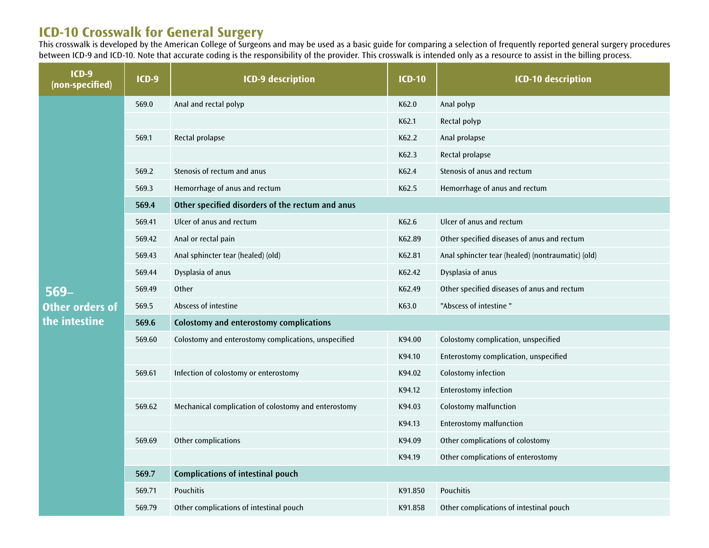## **ICD-10 Crosswalk for General Surgery**

This crosswalk is developed by the American College of Surgeons and may be used as a basic guide for comparing a selection of frequently reported general surgery procedures between ICD-9 and ICD-10. Note that accurate coding is the responsibility of the provider. This crosswalk is intended only as a resource to assist in the billing process.

| $ICD-9$<br>(non-specified)                        | <b>ICD-9</b> | <b>ICD-9 description</b>                             | <b>ICD-10</b> | <b>ICD-10 description</b>                         |  |  |
|---------------------------------------------------|--------------|------------------------------------------------------|---------------|---------------------------------------------------|--|--|
| $569-$<br><b>Other orders of</b><br>the intestine | 569.0        | Anal and rectal polyp                                | K62.0         | Anal polyp                                        |  |  |
|                                                   |              |                                                      | K62.1         | Rectal polyp                                      |  |  |
|                                                   | 569.1        | Rectal prolapse                                      | K62.2         | Anal prolapse                                     |  |  |
|                                                   |              |                                                      | K62.3         | Rectal prolapse                                   |  |  |
|                                                   | 569.2        | Stenosis of rectum and anus                          | K62.4         | Stenosis of anus and rectum                       |  |  |
|                                                   | 569.3        | Hemorrhage of anus and rectum                        | K62.5         | Hemorrhage of anus and rectum                     |  |  |
|                                                   | 569.4        | Other specified disorders of the rectum and anus     |               |                                                   |  |  |
|                                                   | 569.41       | Ulcer of anus and rectum                             | K62.6         | Ulcer of anus and rectum                          |  |  |
|                                                   | 569.42       | Anal or rectal pain                                  | K62.89        | Other specified diseases of anus and rectum       |  |  |
|                                                   | 569.43       | Anal sphincter tear (healed) (old)                   | K62.81        | Anal sphincter tear (healed) (nontraumatic) (old) |  |  |
|                                                   | 569.44       | Dysplasia of anus                                    | K62.42        | Dysplasia of anus                                 |  |  |
|                                                   | 569.49       | <b>Other</b>                                         | K62.49        | Other specified diseases of anus and rectum       |  |  |
|                                                   | 569.5        | Abscess of intestine                                 | K63.0         | "Abscess of intestine"                            |  |  |
|                                                   | 569.6        | Colostomy and enterostomy complications              |               |                                                   |  |  |
|                                                   | 569.60       | Colostomy and enterostomy complications, unspecified | K94.00        | Colostomy complication, unspecified               |  |  |
|                                                   |              |                                                      | K94.10        | Enterostomy complication, unspecified             |  |  |
|                                                   | 569.61       | Infection of colostomy or enterostomy                | K94.02        | Colostomy infection                               |  |  |
|                                                   |              |                                                      | K94.12        | <b>Enterostomy infection</b>                      |  |  |
|                                                   | 569.62       | Mechanical complication of colostomy and enterostomy | K94.03        | Colostomy malfunction                             |  |  |
|                                                   |              |                                                      | K94.13        | <b>Enterostomy malfunction</b>                    |  |  |
|                                                   | 569.69       | Other complications                                  | K94.09        | Other complications of colostomy                  |  |  |
|                                                   |              |                                                      | K94.19        | Other complications of enterostomy                |  |  |
|                                                   | 569.7        | Complications of intestinal pouch                    |               |                                                   |  |  |
|                                                   | 569.71       | <b>Pouchitis</b>                                     | K91.850       | Pouchitis                                         |  |  |
|                                                   | 569.79       | Other complications of intestinal pouch              | K91.858       | Other complications of intestinal pouch           |  |  |